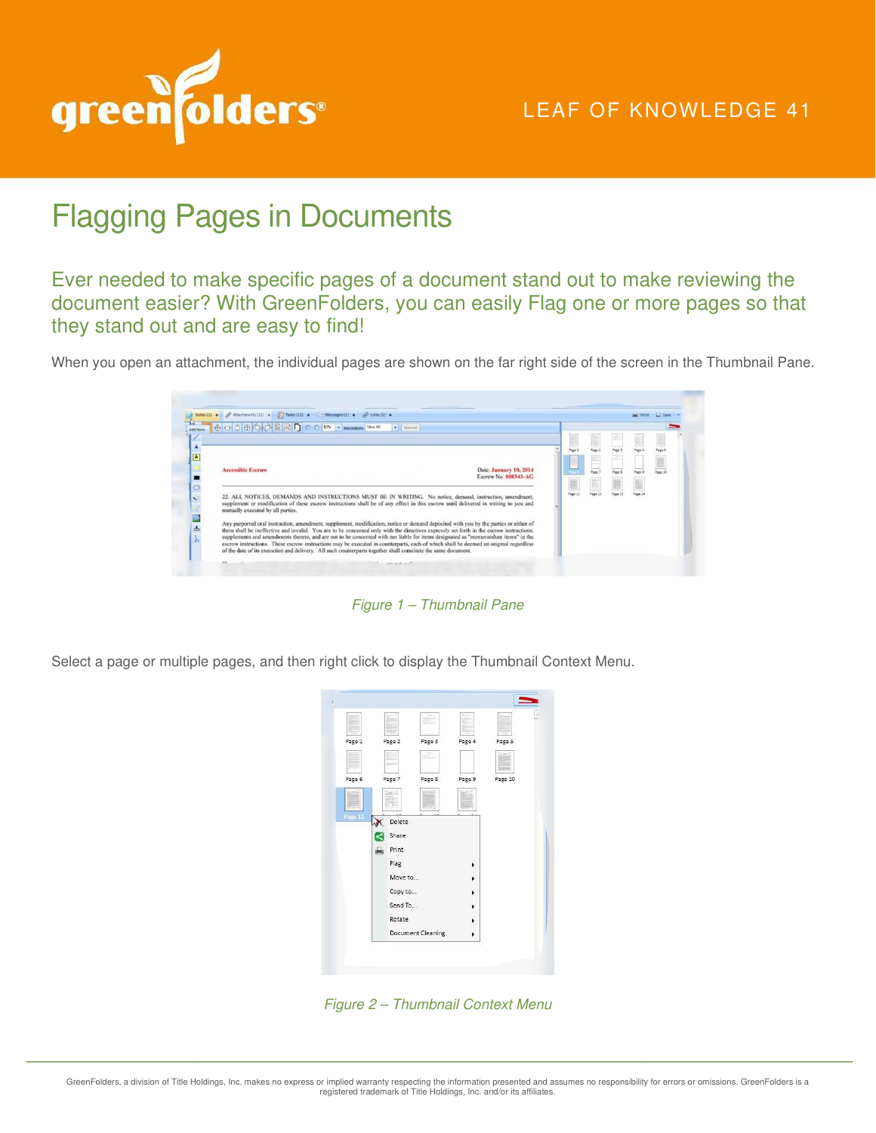

## LEAF OF KNOWLEDGE 41

## Flagging Pages in Documents

Ever needed to make specific pages of a document stand out to make reviewing the document easier? With GreenFolders, you can easily Flag one or more pages so that they stand out and are easy to find!

When you open an attachment, the individual pages are shown on the far right side of the screen in the Thumbnail Pane.

|          | Notes (2) $\div$ / Attachments (21) $\div$ / $\div$ 7esks (11) $\div$ / $\div$ Messages (1) $\div$ // $\div$ //nks (1) $\div$                                                                                                                                                                                                                                                              |                        |               |                |        |         |         |  |
|----------|--------------------------------------------------------------------------------------------------------------------------------------------------------------------------------------------------------------------------------------------------------------------------------------------------------------------------------------------------------------------------------------------|------------------------|---------------|----------------|--------|---------|---------|--|
| Add Note | 中国自由广大国国国门<br>83% - Annotations View All<br>$\bullet$ <b>Exercise</b>                                                                                                                                                                                                                                                                                                                      |                        |               |                |        |         |         |  |
|          |                                                                                                                                                                                                                                                                                                                                                                                            |                        | Page:         | Page:          | Page 3 | Page 4  | Page 3  |  |
|          | <b>Accessible Escrow</b>                                                                                                                                                                                                                                                                                                                                                                   | Date: January 10, 2014 |               | $\overline{a}$ | w.     |         |         |  |
|          |                                                                                                                                                                                                                                                                                                                                                                                            | Escrow No. 008343-AG   | e             | Page 7         | Page 5 | Page 3  | Page 10 |  |
|          | 22. ALL NOTICES, DEMANDS AND INSTRUCTIONS MUST BE IN WRITING. No notice, demand, instruction, amendment,<br>supplement or modification of these escrow instructions shall be of any effect in this escrow until delivered in writing to you and<br>mutually executed by all parties.                                                                                                       |                        | <b>Page 1</b> | Page 12        | Page 1 | Page 14 |         |  |
| 山        | Any purported oral instruction, amendment, supplement, modification, notice or demand deposited with you by the parties or either of<br>them shall be ineffective and invalid. You are to be concerned only with the directives expressly set forth in the escrow instructions,                                                                                                            |                        |               |                |        |         |         |  |
|          | supplements and amendments thereto, and are not to be concerned with nor liable for items designated as "memorandum items" in the<br>escrow instructions. These escrow instructions may be executed in counterparts, each of which shall be deemed an original regardless<br>of the date of its execution and delivery. All such counterparts together shall constitute the same document. |                        |               |                |        |         |         |  |

Figure 1 – Thumbnail Pane

Select a page or multiple pages, and then right click to display the Thumbnail Context Menu.



Figure 2 – Thumbnail Context Menu